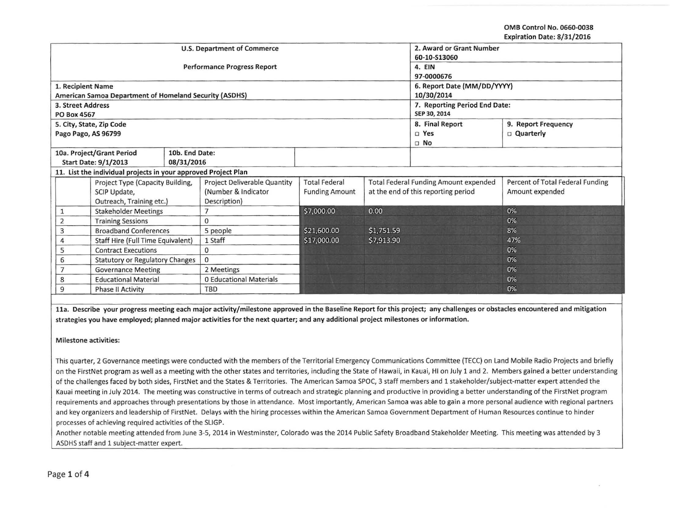OMB Control No. 0660-0038 Expiration Date: 8/31/2016

|                                             |                                            |                                                                |                                    |                                     |                      |                 |                                       | LAPILALIUII DALC. 0/JI/LUIU      |  |  |
|---------------------------------------------|--------------------------------------------|----------------------------------------------------------------|------------------------------------|-------------------------------------|----------------------|-----------------|---------------------------------------|----------------------------------|--|--|
|                                             |                                            |                                                                | U.S. Department of Commerce        | 2. Award or Grant Number            |                      |                 |                                       |                                  |  |  |
|                                             |                                            |                                                                |                                    | 60-10-S13060                        |                      |                 |                                       |                                  |  |  |
|                                             |                                            |                                                                | <b>Performance Progress Report</b> | 4. EIN                              |                      |                 |                                       |                                  |  |  |
|                                             |                                            |                                                                |                                    | 97-0000676                          |                      |                 |                                       |                                  |  |  |
|                                             | 1. Recipient Name                          |                                                                |                                    |                                     |                      |                 | 6. Report Date (MM/DD/YYYY)           |                                  |  |  |
|                                             |                                            | American Samoa Department of Homeland Security (ASDHS)         |                                    |                                     |                      |                 | 10/30/2014                            |                                  |  |  |
|                                             | 3. Street Address                          |                                                                |                                    |                                     |                      |                 | 7. Reporting Period End Date:         |                                  |  |  |
|                                             | PO Box 4567                                |                                                                |                                    |                                     |                      |                 | SEP 30, 2014                          |                                  |  |  |
|                                             |                                            | 5. City, State, Zip Code                                       |                                    |                                     |                      |                 | 8. Final Report                       | 9. Report Frequency              |  |  |
|                                             |                                            | Pago Pago, AS 96799                                            |                                    |                                     |                      |                 | □ Yes                                 | <b>D</b> Quarterly               |  |  |
|                                             |                                            |                                                                |                                    |                                     |                      |                 | $\Box$ No                             |                                  |  |  |
|                                             |                                            | 10a. Project/Grant Period                                      | 10b. End Date:                     |                                     |                      |                 |                                       |                                  |  |  |
| <b>Start Date: 9/1/2013</b>                 |                                            |                                                                | 08/31/2016                         |                                     |                      |                 |                                       |                                  |  |  |
|                                             |                                            | 11. List the individual projects in your approved Project Plan |                                    |                                     |                      |                 |                                       |                                  |  |  |
| Project Type (Capacity Building,            |                                            |                                                                |                                    | Project Deliverable Quantity        | <b>Total Federal</b> |                 | Total Federal Funding Amount expended | Percent of Total Federal Funding |  |  |
| SCIP Update,                                |                                            | (Number & Indicator                                            | <b>Funding Amount</b>              | at the end of this reporting period |                      | Amount expended |                                       |                                  |  |  |
| Outreach, Training etc.)                    |                                            | Description)                                                   |                                    |                                     |                      |                 |                                       |                                  |  |  |
|                                             | <b>Stakeholder Meetings</b><br>1           |                                                                |                                    | \$7,000.00                          | 0.00                 |                 | 0%                                    |                                  |  |  |
|                                             | <b>Training Sessions</b><br>$\overline{2}$ |                                                                | 0                                  |                                     |                      |                 | 0%                                    |                                  |  |  |
| 3<br><b>Broadband Conferences</b>           |                                            | 5 people                                                       | \$21,600.00                        | \$1,751.59                          |                      | 8%              |                                       |                                  |  |  |
| Staff Hire (Full Time Equivalent)           |                                            | 1 Staff                                                        | \$17,000.00                        | \$7,913.90                          |                      | 47%             |                                       |                                  |  |  |
| 5<br><b>Contract Executions</b>             |                                            | 0                                                              |                                    |                                     |                      | 0%              |                                       |                                  |  |  |
| 6<br><b>Statutory or Regulatory Changes</b> |                                            | $\Omega$                                                       |                                    |                                     |                      | 0%              |                                       |                                  |  |  |
| <b>Governance Meeting</b>                   |                                            | 2 Meetings                                                     |                                    |                                     |                      | 0%              |                                       |                                  |  |  |
| <b>Educational Material</b><br>8            |                                            | <b>0 Educational Materials</b>                                 |                                    |                                     |                      | 0%              |                                       |                                  |  |  |
| 9<br><b>Phase II Activity</b>               |                                            |                                                                |                                    | TBD                                 |                      |                 |                                       | 0%                               |  |  |

11a. Describe your progress meeting each major activity/milestone approved in the Baseline Report for this project; any challenges or obstacles encountered and mitigation strategies you have employed; planned major activities for the next quarter; and any additional project milestones or information.

Milestone activities:

This quarter, 2 Governance meetings were conducted with the members of the Territorial Emergency Communications Committee (TECC) on Land Mobile Radio Projects and briefly on the FirstNet program as well as a meeting with the other states and territories, including the State of Hawaii, in Kauai, HI on July 1 and 2. Members gained a better understanding of the challenges faced by both sides, FirstNet and the States & Territories. The American Samoa SPOC, 3 staff members and 1 stakeholder/subject-matter expert attended the Kauai meeting in July 2014. The meeting was constructive in terms of outreach and strategic planning and productive in providing a better understanding of the FirstNet program requirements and approaches through presentations by those in attendance. Most importantly, American Samoa was able to gain a more personal audience with regional partners and key organizers and leadership of FirstNet. Delays with the hiring processes within the American Samoa Government Department of Human Resources continue to hinder processes of achieving required activities of the SLIGP.

Another notable meeting attended from June 3-5, 2014 in Westminster, Colorado was the 2014 Public Safety Broadband Stakeholder Meeting. This meeting was attended by 3 ASDHS staff and 1 subject-matter expert.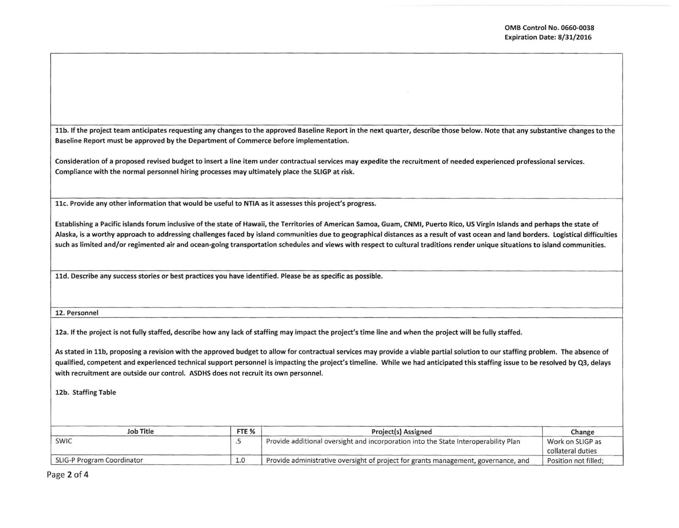I

I

I

I

11b. If the project team anticipates requesting any changes to the approved Baseline Report in the next quarter, describe those below. Note that any substantive changes to the Baseline Report must be approved by the Department of Commerce before implementation.

Consideration of a proposed revised budget to insert a line item under contractual services may expedite the recruitment of needed experienced professional services. Compliance with the normal personnel hiring processes may ultimately place the SLIGP at risk.

llc. Provide any other information that would be useful to NTIA as it assesses this project's progress.

Establishing a Pacific islands forum inclusive of the state of Hawaii, the Territories of American Samoa, Guam, CNMI, Puerto Rico, US Virgin Islands and perhaps the state of Alaska, is a worthy approach to addressing challenges faced by island communities due to geographical distances as a result of vast ocean and land borders. Logistical difficulties such as limited and/or regimented air and ocean-going transportation schedules and views with respect to cultural traditions render unique situations to island communities.

lld. Describe any success stories or best practices you have identified. Please be as specific as possible. I

12. Personnel

12a. If the project is not fully staffed, describe how any lack of staffing may impact the project's time line and when the project will be fully staffed.

As stated in 11b, proposing a revision with the approved budget to allow for contractual services may provide a viable partial solution to our staffing problem. The absence of qualified, competent and experienced technical support personnel is impacting the project's timeline. While we had anticipated this staffing issue to be resolved by Q3, delays with recruitment are outside our control. ASDHS does not recruit its own personnel.

12b. Staffing Table

| Job Title                  | FTE <sub>%</sub> | <b>Project(s) Assigned</b>                                                          | Change                                |  |
|----------------------------|------------------|-------------------------------------------------------------------------------------|---------------------------------------|--|
| <b>SWIC</b>                |                  | Provide additional oversight and incorporation into the State Interoperability Plan | Work on SLIGP as<br>collateral duties |  |
| SLIG-P Program Coordinator | 1.0              | Provide administrative oversight of project for grants management, governance, and  | Position not filled:                  |  |

Page 2 of 4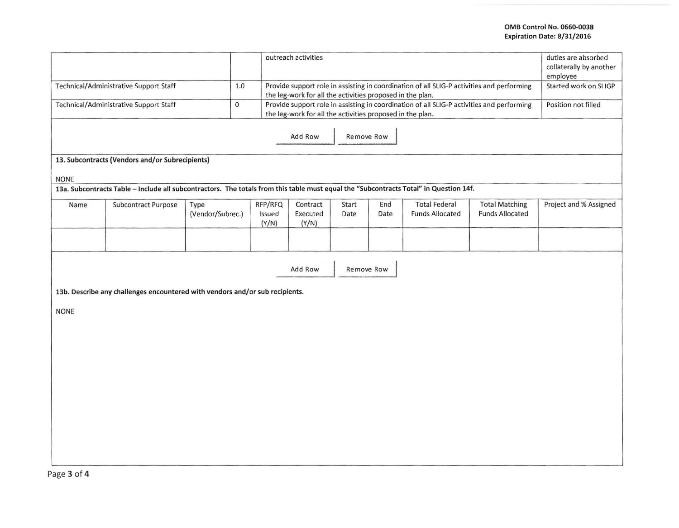## OMB Control No. 0660-0038 Expiration Date: 8/31/2016

|                                                                                    | outreach activities                                                                                                                   |                                                                                                                                                        |                            |                               |               |             | duties are absorbed<br>collaterally by another<br>employee                                |                                                 |                        |
|------------------------------------------------------------------------------------|---------------------------------------------------------------------------------------------------------------------------------------|--------------------------------------------------------------------------------------------------------------------------------------------------------|----------------------------|-------------------------------|---------------|-------------|-------------------------------------------------------------------------------------------|-------------------------------------------------|------------------------|
| Technical/Administrative Support Staff                                             |                                                                                                                                       | Provide support role in assisting in coordination of all SLIG-P activities and performing<br>the leg-work for all the activities proposed in the plan. | Started work on SLIGP      |                               |               |             |                                                                                           |                                                 |                        |
|                                                                                    | Technical/Administrative Support Staff                                                                                                | $\mathsf{O}\xspace$                                                                                                                                    |                            |                               |               |             | Provide support role in assisting in coordination of all SLIG-P activities and performing |                                                 | Position not filled    |
| the leg-work for all the activities proposed in the plan.<br>Add Row<br>Remove Row |                                                                                                                                       |                                                                                                                                                        |                            |                               |               |             |                                                                                           |                                                 |                        |
|                                                                                    | 13. Subcontracts (Vendors and/or Subrecipients)                                                                                       |                                                                                                                                                        |                            |                               |               |             |                                                                                           |                                                 |                        |
| <b>NONE</b>                                                                        | 13a. Subcontracts Table - Include all subcontractors. The totals from this table must equal the "Subcontracts Total" in Question 14f. |                                                                                                                                                        |                            |                               |               |             |                                                                                           |                                                 |                        |
| Name                                                                               | Subcontract Purpose                                                                                                                   | Type<br>(Vendor/Subrec.)                                                                                                                               | RFP/RFQ<br>Issued<br>(Y/N) | Contract<br>Executed<br>(Y/N) | Start<br>Date | End<br>Date | <b>Total Federal</b><br><b>Funds Allocated</b>                                            | <b>Total Matching</b><br><b>Funds Allocated</b> | Project and % Assigned |
|                                                                                    |                                                                                                                                       |                                                                                                                                                        |                            |                               |               |             |                                                                                           |                                                 |                        |
| <b>NONE</b>                                                                        | 13b. Describe any challenges encountered with vendors and/or sub recipients.                                                          |                                                                                                                                                        |                            | Add Row                       | Remove Row    |             |                                                                                           |                                                 |                        |